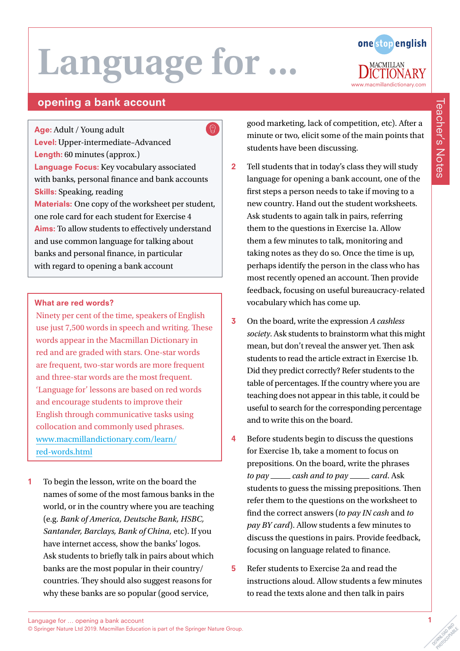

# **Teacher's Notes**

Teacher's Notes

### opening a bank account

Age: Adult / Young adult Level: Upper-intermediate–Advanced Length: 60 minutes (approx.) Language Focus: Key vocabulary associated with banks, personal finance and bank accounts Skills: Speaking, reading Materials: One copy of the worksheet per student, one role card for each student for Exercise 4 Aims: To allow students to effectively understand and use common language for talking about banks and personal finance, in particular with regard to opening a bank account

#### What are red words?

Ninety per cent of the time, speakers of English use just 7,500 words in speech and writing. These words appear in the Macmillan Dictionary in red and are graded with stars. One-star words are frequent, two-star words are more frequent and three-star words are the most frequent. 'Language for' lessons are based on red words and encourage students to improve their English through communicative tasks using collocation and commonly used phrases. [www.macmillandictionary.com/learn/](https://www.macmillandictionary.com/learn/red-words.html) [red-words.html](https://www.macmillandictionary.com/learn/red-words.html)

1 To begin the lesson, write on the board the names of some of the most famous banks in the world, or in the country where you are teaching (e.g. *Bank of America, Deutsche Bank, HSBC, Santander, Barclays, Bank of China,* etc). If you have internet access, show the banks' logos. Ask students to briefly talk in pairs about which banks are the most popular in their country/ countries. They should also suggest reasons for why these banks are so popular (good service,

good marketing, lack of competition, etc). After a minute or two, elicit some of the main points that students have been discussing.

- 2 Tell students that in today's class they will study language for opening a bank account, one of the first steps a person needs to take if moving to a new country. Hand out the student worksheets. Ask students to again talk in pairs, referring them to the questions in Exercise 1a. Allow them a few minutes to talk, monitoring and taking notes as they do so. Once the time is up, perhaps identify the person in the class who has most recently opened an account. Then provide feedback, focusing on useful bureaucracy-related vocabulary which has come up.
- 3 On the board, write the expression *A cashless society*. Ask students to brainstorm what this might mean, but don't reveal the answer yet. Then ask students to read the article extract in Exercise 1b. Did they predict correctly? Refer students to the table of percentages. If the country where you are teaching does not appear in this table, it could be useful to search for the corresponding percentage and to write this on the board.
- 4 Before students begin to discuss the questions for Exercise 1b, take a moment to focus on prepositions. On the board, write the phrases *to pay* \_\_\_\_\_ *cash and to pay* \_\_\_\_\_ *card*. Ask students to guess the missing prepositions. Then refer them to the questions on the worksheet to find the correct answers (*to pay IN cash* and *to pay BY card*). Allow students a few minutes to discuss the questions in pairs. Provide feedback, focusing on language related to finance.
- 5 Refer students to Exercise 2a and read the instructions aloud. Allow students a few minutes to read the texts alone and then talk in pairs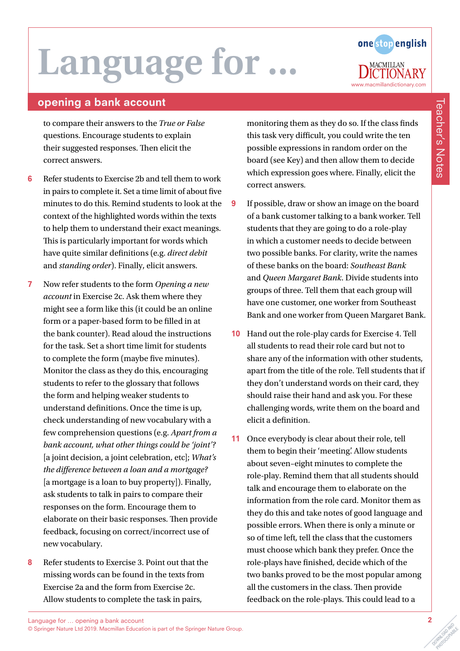# Language for.



### opening a bank account

to compare their answers to the *True or False* questions. Encourage students to explain their suggested responses. Then elicit the correct answers.

- 6 Refer students to Exercise 2b and tell them to work in pairs to complete it. Set a time limit of about five minutes to do this. Remind students to look at the context of the highlighted words within the texts to help them to understand their exact meanings. This is particularly important for words which have quite similar definitions (e.g. *direct debit* and *standing order*). Finally, elicit answers.
- 7 Now refer students to the form *Opening a new account* in Exercise 2c. Ask them where they might see a form like this (it could be an online form or a paper-based form to be filled in at the bank counter). Read aloud the instructions for the task. Set a short time limit for students to complete the form (maybe five minutes). Monitor the class as they do this, encouraging students to refer to the glossary that follows the form and helping weaker students to understand definitions. Once the time is up, check understanding of new vocabulary with a few comprehension questions (e.g. *Apart from a bank account, what other things could be 'joint'?* [a joint decision, a joint celebration, etc]; *What's the difference between a loan and a mortgage?*  [a mortgage is a loan to buy property]). Finally, ask students to talk in pairs to compare their responses on the form. Encourage them to elaborate on their basic responses. Then provide feedback, focusing on correct/incorrect use of new vocabulary.
- 8 Refer students to Exercise 3. Point out that the missing words can be found in the texts from Exercise 2a and the form from Exercise 2c. Allow students to complete the task in pairs,

monitoring them as they do so. If the class finds this task very difficult, you could write the ten possible expressions in random order on the board (see Key) and then allow them to decide which expression goes where. Finally, elicit the correct answers.

- 9 If possible, draw or show an image on the board of a bank customer talking to a bank worker. Tell students that they are going to do a role-play in which a customer needs to decide between two possible banks. For clarity, write the names of these banks on the board: *Southeast Bank* and *Queen Margaret Bank*. Divide students into groups of three. Tell them that each group will have one customer, one worker from Southeast Bank and one worker from Queen Margaret Bank.
- 10 Hand out the role-play cards for Exercise 4. Tell all students to read their role card but not to share any of the information with other students, apart from the title of the role. Tell students that if they don't understand words on their card, they should raise their hand and ask you. For these challenging words, write them on the board and elicit a definition.
- 11 Once everybody is clear about their role, tell them to begin their 'meeting'. Allow students about seven–eight minutes to complete the role-play. Remind them that all students should talk and encourage them to elaborate on the information from the role card. Monitor them as they do this and take notes of good language and possible errors. When there is only a minute or so of time left, tell the class that the customers must choose which bank they prefer. Once the role-plays have finished, decide which of the two banks proved to be the most popular among all the customers in the class. Then provide feedback on the role-plays. This could lead to a

PHOTOCOPIABLE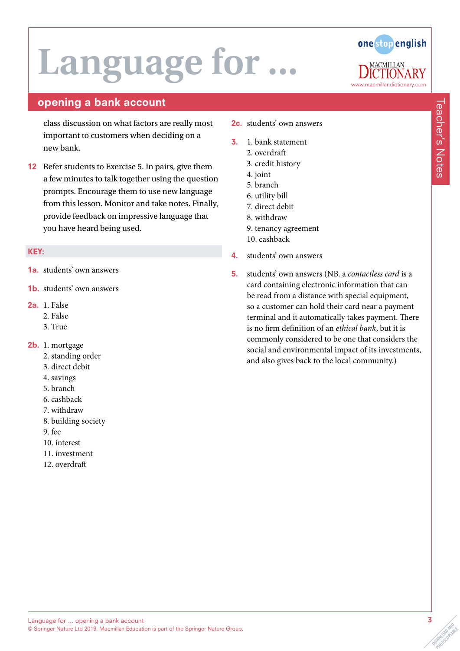# **Language for**



Teacher's Notes

**Teacher's Notes** 

### opening a bank account

class discussion on what factors are really most important to customers when deciding on a new bank.

12 Refer students to Exercise 5. In pairs, give them a few minutes to talk together using the question prompts. Encourage them to use new language from this lesson. Monitor and take notes. Finally, provide feedback on impressive language that you have heard being used.

#### KEY:

- 1a. students' own answers
- 1b. students' own answers
- 2a. 1. False
	- 2. False
	- 3. True
- 2b. 1. mortgage
	- 2. standing order
	- 3. direct debit
	- 4. savings
	- 5. branch
	- 6. cashback
	- 7. withdraw
	- 8. building society
	- 9. fee
	- 10. interest
	- 11. investment
	- 12. overdraft
- 2c. students' own answers
- 3. 1. bank statement
	- 2. overdraft
		- 3. credit history
		- 4. joint
		- 5. branch
		- 6. utility bill
		- 7. direct debit
	- 8. withdraw
	- 9. tenancy agreement
	- 10. cashback
- 4. students' own answers
- 5. students' own answers (NB. a *contactless card* is a card containing electronic information that can be read from a distance with special equipment, so a customer can hold their card near a payment terminal and it automatically takes payment. There is no firm definition of an *ethical bank*, but it is commonly considered to be one that considers the social and environmental impact of its investments, and also gives back to the local community.)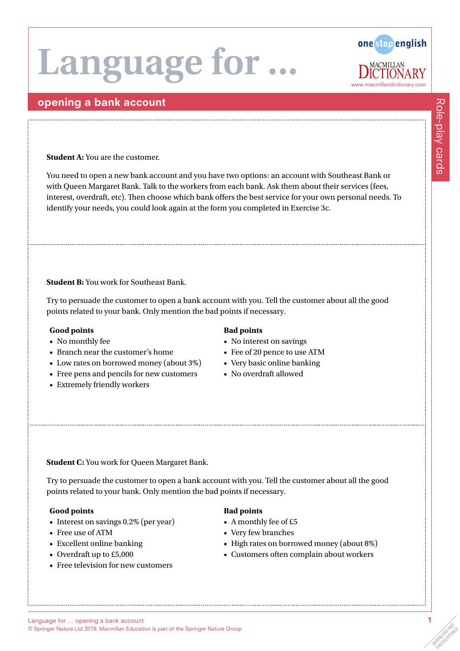# Language for



### opening a bank account

**Student A:** You are the customer.

You need to open a new bank account and you have two options: an account with Southeast Bank or with Queen Margaret Bank. Talk to the workers from each bank. Ask them about their services (fees, interest, overdraft, etc). Then choose which bank offers the best service for your own personal needs. To identify your needs, you could look again at the form you completed in Exercise 3c.

**Student B:** You work for Southeast Bank.

Try to persuade the customer to open a bank account with you. Tell the customer about all the good points related to your bank. Only mention the bad points if necessary.

#### **Good points**

- No monthly fee
- Branch near the customer's home
- Low rates on borrowed money (about 3%)
- Free pens and pencils for new customers
- Extremely friendly workers

#### **Bad points**

- No interest on savings
- Fee of 20 pence to use ATM
- Very basic online banking
- No overdraft allowed

**Student C:** You work for Queen Margaret Bank.

Try to persuade the customer to open a bank account with you. Tell the customer about all the good points related to your bank. Only mention the bad points if necessary.

#### **Good points**

- Interest on savings 0.2% (per year)
- Free use of ATM
- Excellent online banking
- Overdraft up to £5,000
- Free television for new customers

#### **Bad points**

- A monthly fee of £5
- Very few branches
- High rates on borrowed money (about 8%)
- Customers often complain about workers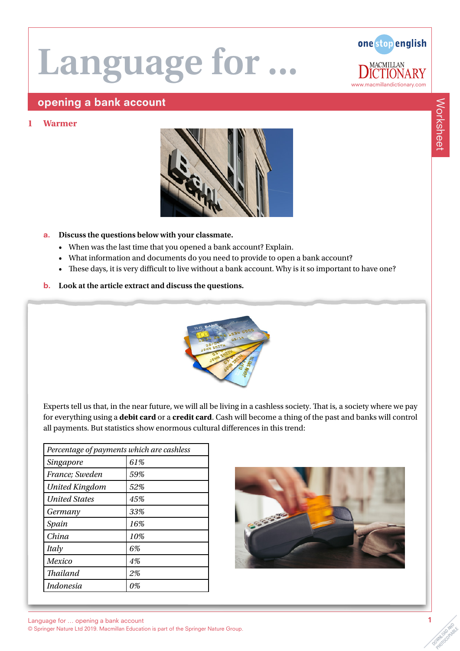

### opening a bank account

#### **1 Warmer**



#### a. **Discuss the questions below with your classmate.**

- When was the last time that you opened a bank account? Explain.
- What information and documents do you need to provide to open a bank account?
- These days, it is very difficult to live without a bank account. Why is it so important to have one?
- b. **Look at the article extract and discuss the questions.**



Experts tell us that, in the near future, we will all be living in a cashless society. That is, a society where we pay for everything using a **debit card** or a **credit card**. Cash will become a thing of the past and banks will control all payments. But statistics show enormous cultural differences in this trend:

| Percentage of payments which are cashless |     |
|-------------------------------------------|-----|
| Singapore                                 | 61% |
| France; Sweden                            | 59% |
| <b>United Kingdom</b>                     | 52% |
| <b>United States</b>                      | 45% |
| Germany                                   | 33% |
| Spain                                     | 16% |
| China                                     | 10% |
| Italy                                     | 6%  |
| Mexico                                    | 4%  |
| <b>Thailand</b>                           | 2%  |
| <b>Indonesia</b>                          | 0%  |

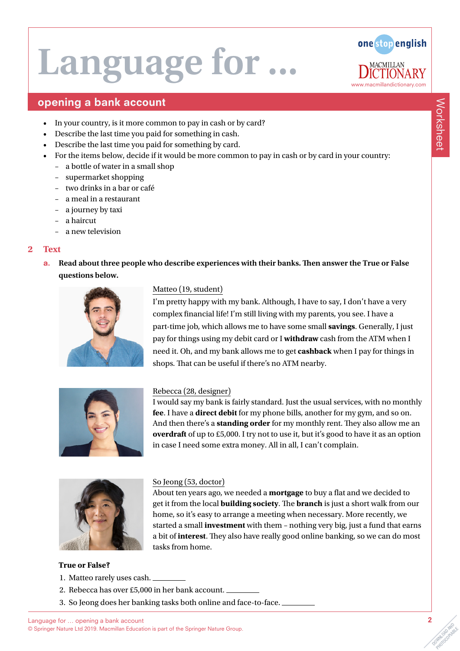

### opening a bank account

- In your country, is it more common to pay in cash or by card?
- Describe the last time you paid for something in cash.
- Describe the last time you paid for something by card.
- For the items below, decide if it would be more common to pay in cash or by card in your country:
	- a bottle of water in a small shop
	- supermarket shopping
	- two drinks in a bar or café
	- a meal in a restaurant
	- a journey by taxi
	- a haircut
	- a new television

#### **2 Text**

a. **Read about three people who describe experiences with their banks. Then answer the True or False questions below.**



#### Matteo (19, student)

I'm pretty happy with my bank. Although, I have to say, I don't have a very complex financial life! I'm still living with my parents, you see. I have a part-time job, which allows me to have some small **savings**. Generally, I just pay for things using my debit card or I **withdraw** cash from the ATM when I need it. Oh, and my bank allows me to get **cashback** when I pay for things in shops. That can be useful if there's no ATM nearby.



#### Rebecca (28, designer)

I would say my bank is fairly standard. Just the usual services, with no monthly **fee**. I have a **direct debit** for my phone bills, another for my gym, and so on. And then there's a **standing order** for my monthly rent. They also allow me an **overdraft** of up to £5,000. I try not to use it, but it's good to have it as an option in case I need some extra money. All in all, I can't complain.



# So Jeong (53, doctor)

About ten years ago, we needed a **mortgage** to buy a flat and we decided to get it from the local **building society**. The **branch** is just a short walk from our home, so it's easy to arrange a meeting when necessary. More recently, we started a small **investment** with them – nothing very big, just a fund that earns a bit of **interest**. They also have really good online banking, so we can do most tasks from home.

#### **True or False?**

- 1. Matteo rarely uses cash.
- 2. Rebecca has over £5,000 in her bank account.
- 3. So Jeong does her banking tasks both online and face-to-face.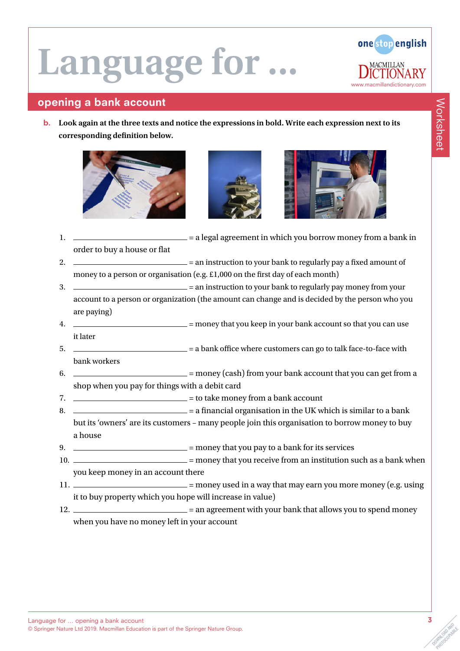

## opening a bank account

b. **Look again at the three texts and notice the expressions in bold. Write each expression next to its corresponding definition below.**







- 1.  $\frac{1}{2}$  = a legal agreement in which you borrow money from a bank in order to buy a house or flat
- 2.  $\frac{1}{2}$  = an instruction to your bank to regularly pay a fixed amount of money to a person or organisation (e.g. £1,000 on the first day of each month)
- 3. = an instruction to your bank to regularly pay money from your account to a person or organization (the amount can change and is decided by the person who you are paying)
- 4. = money that you keep in your bank account so that you can use it later
- 5. = a bank office where customers can go to talk face-to-face with bank workers
- $6.$   $\qquad \qquad =$  money (cash) from your bank account that you can get from a shop when you pay for things with a debit card
- $7.$   $\frac{1}{2}$  = to take money from a bank account
- $8.$   $\frac{1}{2}$  = a financial organisation in the UK which is similar to a bank but its 'owners' are its customers – many people join this organisation to borrow money to buy a house
- 9.  $\frac{1}{2}$  = money that you pay to a bank for its services
- 10.  $\frac{1}{100}$  = money that you receive from an institution such as a bank when you keep money in an account there
- 11.  $\frac{1}{1}$  = money used in a way that may earn you more money (e.g. using it to buy property which you hope will increase in value)
- 12. \_\_\_\_\_\_\_\_\_\_\_\_\_\_\_\_\_\_\_\_\_\_\_\_\_ = an agreement with your bank that allows you to spend money when you have no money left in your account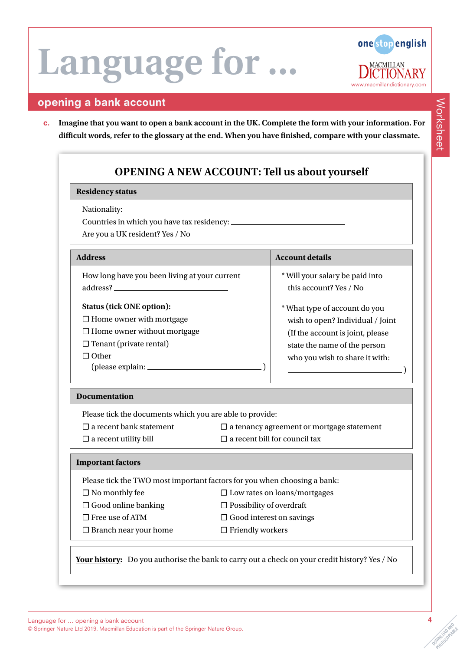

### opening a bank account

c. **Imagine that you want to open a bank account in the UK. Complete the form with your information. For difficult words, refer to the glossary at the end. When you have finished, compare with your classmate.**

### **OPENING A NEW ACCOUNT: Tell us about yourself**

#### **Residency status**

Nationality:

Countries in which you have tax residency:

Are you a UK resident? Yes / No

| <b>Address</b>                                                                                                                                         | <b>Account details</b>                                                                                                                                                   |
|--------------------------------------------------------------------------------------------------------------------------------------------------------|--------------------------------------------------------------------------------------------------------------------------------------------------------------------------|
| How long have you been living at your current<br>address? _                                                                                            | * Will your salary be paid into<br>this account? Yes / No                                                                                                                |
| <b>Status (tick ONE option):</b><br>$\Box$ Home owner with mortgage<br>$\Box$ Home owner without mortgage<br>$\Box$ Tenant (private rental)<br>1 Other | * What type of account do you<br>wish to open? Individual / Joint<br>(If the account is joint, please)<br>state the name of the person<br>who you wish to share it with: |

#### **Documentation**

Please tick the documents which you are able to provide:

- $\Box$  a recent utility bill  $\Box$  a recent bill for council tax
- ☐ a recent bank statement ☐ a tenancy agreement or mortgage statement
- **Important factors**

Please tick the TWO most important factors for you when choosing a bank:

- -
	-
- 
- ☐ Branch near your home ☐ Friendly workers
- ☐ No monthly fee ☐ Low rates on loans/mortgages
- ☐ Good online banking ☐ Possibility of overdraft
- ☐ Free use of ATM ☐ Good interest on savings
	-

**Your history:** Do you authorise the bank to carry out a check on your credit history? Yes / No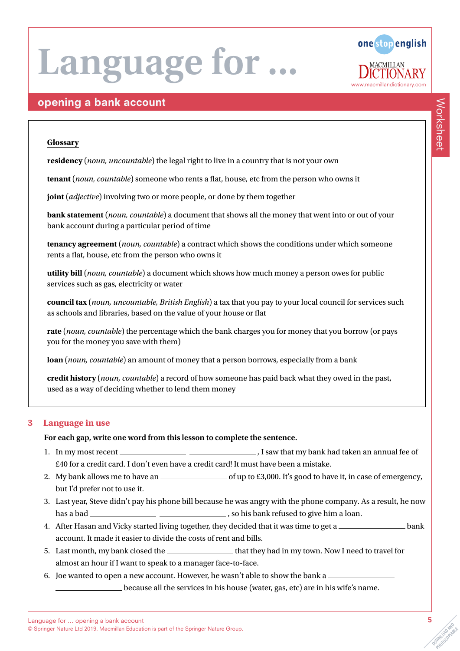

### opening a bank account

#### **Glossary**

**residency** (*noun, uncountable*) the legal right to live in a country that is not your own

**tenant** (*noun, countable*) someone who rents a flat, house, etc from the person who owns it

**joint** (*adjective*) involving two or more people, or done by them together

**bank statement** (*noun, countable*) a document that shows all the money that went into or out of your bank account during a particular period of time

**tenancy agreement** (*noun, countable*) a contract which shows the conditions under which someone rents a flat, house, etc from the person who owns it

**utility bill** (*noun, countable*) a document which shows how much money a person owes for public services such as gas, electricity or water

**council tax** (*noun, uncountable, British English*) a tax that you pay to your local council for services such as schools and libraries, based on the value of your house or flat

**rate** (*noun, countable*) the percentage which the bank charges you for money that you borrow (or pays you for the money you save with them)

**loan** (*noun, countable*) an amount of money that a person borrows, especially from a bank

**credit history** (*noun, countable*) a record of how someone has paid back what they owed in the past, used as a way of deciding whether to lend them money

#### **3 Language in use**

#### **For each gap, write one word from this lesson to complete the sentence.**

- 1. In my most recent , I saw that my bank had taken an annual fee of £40 for a credit card. I don't even have a credit card! It must have been a mistake.
- 2. My bank allows me to have an  $\text{________}$  of up to £3,000. It's good to have it, in case of emergency, but I'd prefer not to use it.
- 3. Last year, Steve didn't pay his phone bill because he was angry with the phone company. As a result, he now has a bad , so his bank refused to give him a loan.
- 4. After Hasan and Vicky started living together, they decided that it was time to get a account. It made it easier to divide the costs of rent and bills.
- 5. Last month, my bank closed the  $\Box$  that they had in my town. Now I need to travel for almost an hour if I want to speak to a manager face-to-face.
- 6. Joe wanted to open a new account. However, he wasn't able to show the bank a

because all the services in his house (water, gas, etc) are in his wife's name.